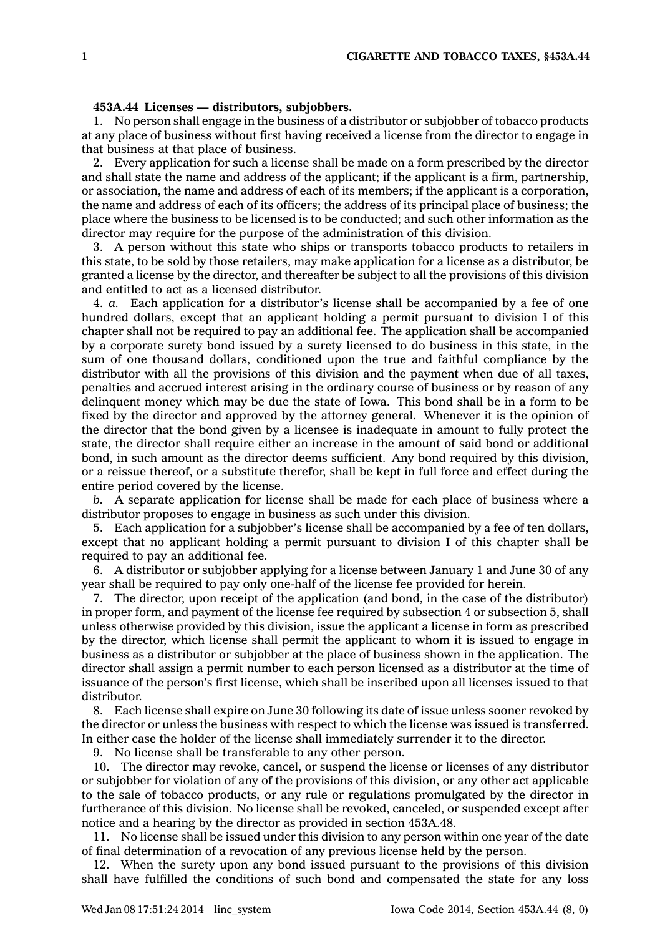## **453A.44 Licenses — distributors, subjobbers.**

1. No person shall engage in the business of <sup>a</sup> distributor or subjobber of tobacco products at any place of business without first having received <sup>a</sup> license from the director to engage in that business at that place of business.

2. Every application for such <sup>a</sup> license shall be made on <sup>a</sup> form prescribed by the director and shall state the name and address of the applicant; if the applicant is <sup>a</sup> firm, partnership, or association, the name and address of each of its members; if the applicant is <sup>a</sup> corporation, the name and address of each of its officers; the address of its principal place of business; the place where the business to be licensed is to be conducted; and such other information as the director may require for the purpose of the administration of this division.

3. A person without this state who ships or transports tobacco products to retailers in this state, to be sold by those retailers, may make application for <sup>a</sup> license as <sup>a</sup> distributor, be granted <sup>a</sup> license by the director, and thereafter be subject to all the provisions of this division and entitled to act as <sup>a</sup> licensed distributor.

4. *a.* Each application for <sup>a</sup> distributor's license shall be accompanied by <sup>a</sup> fee of one hundred dollars, except that an applicant holding <sup>a</sup> permit pursuant to division I of this chapter shall not be required to pay an additional fee. The application shall be accompanied by <sup>a</sup> corporate surety bond issued by <sup>a</sup> surety licensed to do business in this state, in the sum of one thousand dollars, conditioned upon the true and faithful compliance by the distributor with all the provisions of this division and the payment when due of all taxes, penalties and accrued interest arising in the ordinary course of business or by reason of any delinquent money which may be due the state of Iowa. This bond shall be in <sup>a</sup> form to be fixed by the director and approved by the attorney general. Whenever it is the opinion of the director that the bond given by <sup>a</sup> licensee is inadequate in amount to fully protect the state, the director shall require either an increase in the amount of said bond or additional bond, in such amount as the director deems sufficient. Any bond required by this division, or <sup>a</sup> reissue thereof, or <sup>a</sup> substitute therefor, shall be kept in full force and effect during the entire period covered by the license.

*b.* A separate application for license shall be made for each place of business where <sup>a</sup> distributor proposes to engage in business as such under this division.

5. Each application for <sup>a</sup> subjobber's license shall be accompanied by <sup>a</sup> fee of ten dollars, except that no applicant holding <sup>a</sup> permit pursuant to division I of this chapter shall be required to pay an additional fee.

6. A distributor or subjobber applying for <sup>a</sup> license between January 1 and June 30 of any year shall be required to pay only one-half of the license fee provided for herein.

7. The director, upon receipt of the application (and bond, in the case of the distributor) in proper form, and payment of the license fee required by subsection 4 or subsection 5, shall unless otherwise provided by this division, issue the applicant <sup>a</sup> license in form as prescribed by the director, which license shall permit the applicant to whom it is issued to engage in business as <sup>a</sup> distributor or subjobber at the place of business shown in the application. The director shall assign <sup>a</sup> permit number to each person licensed as <sup>a</sup> distributor at the time of issuance of the person's first license, which shall be inscribed upon all licenses issued to that distributor.

8. Each license shall expire on June 30 following its date of issue unless sooner revoked by the director or unless the business with respect to which the license was issued is transferred. In either case the holder of the license shall immediately surrender it to the director.

9. No license shall be transferable to any other person.

10. The director may revoke, cancel, or suspend the license or licenses of any distributor or subjobber for violation of any of the provisions of this division, or any other act applicable to the sale of tobacco products, or any rule or regulations promulgated by the director in furtherance of this division. No license shall be revoked, canceled, or suspended except after notice and <sup>a</sup> hearing by the director as provided in section 453A.48.

11. No license shall be issued under this division to any person within one year of the date of final determination of <sup>a</sup> revocation of any previous license held by the person.

12. When the surety upon any bond issued pursuant to the provisions of this division shall have fulfilled the conditions of such bond and compensated the state for any loss